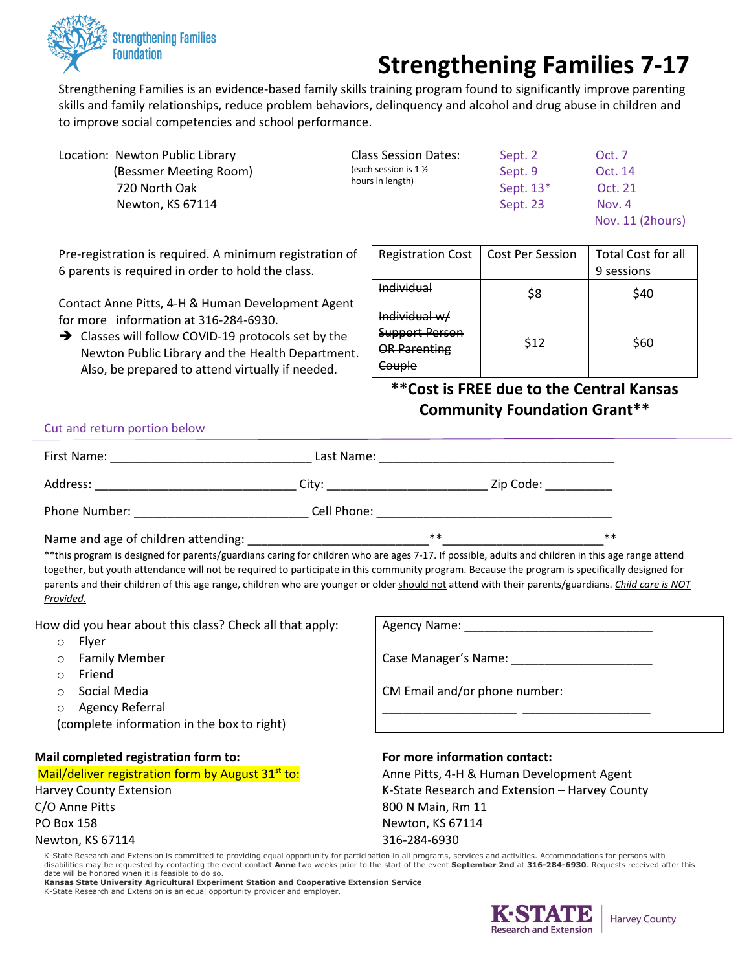

## **Strengthening Families 7-17**

Strengthening Families is an evidence-based family skills training program found to significantly improve parenting skills and family relationships, reduce problem behaviors, delinquency and alcohol and drug abuse in children and to improve social competencies and school performance.

| Location: Newton Public Library | <b>Class Session Dates:</b>                | Sept. 2     | Oct. 7           |
|---------------------------------|--------------------------------------------|-------------|------------------|
| (Bessmer Meeting Room)          | (each session is $1\%$<br>hours in length) | Sept. 9     | Oct. 14          |
| 720 North Oak                   |                                            | Sept. $13*$ | Oct. 21          |
| Newton, KS 67114                |                                            | Sept. 23    | Nov. $4$         |
|                                 |                                            |             | Nov. 11 (2hours) |

Pre-registration is required. A minimum registration of 6 parents is required in order to hold the class.

Contact Anne Pitts, 4-H & Human Development Agent for more information at 316-284-6930.

→ Classes will follow COVID-19 protocols set by the Newton Public Library and the Health Department. Also, be prepared to attend virtually if needed.

| <b>Registration Cost</b> | <b>Cost Per Session</b> | <b>Total Cost for all</b> |
|--------------------------|-------------------------|---------------------------|
|                          |                         | 9 sessions                |
| Individual               | \$8                     | 940                       |
| Individual w/            |                         |                           |
| Support Person           |                         | 560                       |
| <del>OR Parenting</del>  |                         |                           |
|                          |                         |                           |

**\*\*Cost is FREE due to the Central Kansas Community Foundation Grant\*\***

## Cut and return portion below

| First Name:<br>the control of the control of the control of | Last Name:  | <u> 1989 - Johann Stein, mars and de British and de British and de British and de British and de British and de B</u> |      |
|-------------------------------------------------------------|-------------|-----------------------------------------------------------------------------------------------------------------------|------|
| Address:                                                    | City:       | Zip Code: ___________                                                                                                 |      |
| Phone Number:                                               | Cell Phone: |                                                                                                                       |      |
| Name and age of children attending:                         |             | $***$                                                                                                                 | $**$ |

\*\*this program is designed for parents/guardians caring for children who are ages 7-17. If possible, adults and children in this age range attend together, but youth attendance will not be required to participate in this community program. Because the program is specifically designed for parents and their children of this age range, children who are younger or older should not attend with their parents/guardians. *Child care is NOT Provided.*

How did you hear about this class? Check all that apply:

- o Flyer
- o Family Member
- o Friend
- o Social Media
- o Agency Referral

(complete information in the box to right)

## **Mail completed registration form to:**

Mail/deliver registration form by August  $31<sup>st</sup>$  to: Harvey County Extension C/O Anne Pitts PO Box 158 Newton, KS 67114

| <b>Agency Name:</b>           |  |
|-------------------------------|--|
| Case Manager's Name:          |  |
| CM Email and/or phone number: |  |
|                               |  |
| For more information contact: |  |

| Anne Pitts, 4-H & Human Development Agent      |
|------------------------------------------------|
| K-State Research and Extension - Harvey County |
| 800 N Main, Rm 11                              |
| Newton, KS 67114                               |
| 316-284-6930                                   |
|                                                |

K-State Research and Extension is committed to providing equal opportunity for participation in all programs, services and activities. Accommodations for persons with<br>disabilities may be requested by contacting the event c date will be honored when it is feasible to do so.

**Kansas State University Agricultural Experiment Station and Cooperative Extension Service** K-State Research and Extension is an equal opportunity provider and employer.



**Harvey County**